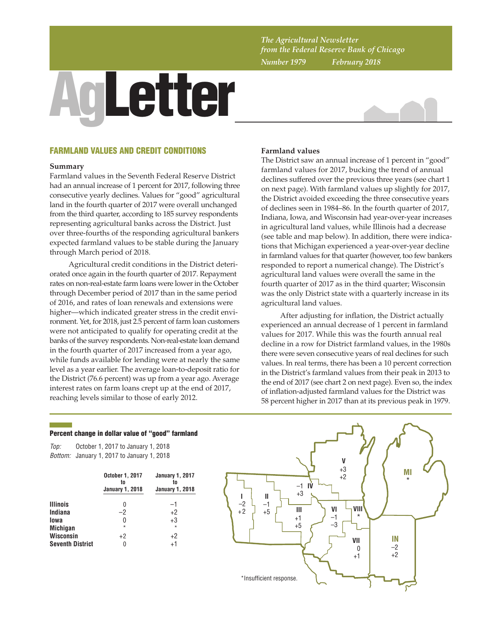*The Agricultural Newsletter from the Federal Reserve Bank of Chicago Number 1979 February 2018*

# AgLetter



## FARMLAND VALUES AND CREDIT CONDITIONS

#### **Summary**

Farmland values in the Seventh Federal Reserve District had an annual increase of 1 percent for 2017, following three consecutive yearly declines. Values for "good" agricultural land in the fourth quarter of 2017 were overall unchanged from the third quarter, according to 185 survey respondents representing agricultural banks across the District. Just over three-fourths of the responding agricultural bankers expected farmland values to be stable during the January through March period of 2018.

Agricultural credit conditions in the District deteriorated once again in the fourth quarter of 2017. Repayment rates on non-real-estate farm loans were lower in the October through December period of 2017 than in the same period of 2016, and rates of loan renewals and extensions were higher—which indicated greater stress in the credit environment. Yet, for 2018, just 2.5 percent of farm loan customers were not anticipated to qualify for operating credit at the banks of the survey respondents. Non-real-estate loan demand in the fourth quarter of 2017 increased from a year ago, while funds available for lending were at nearly the same level as a year earlier. The average loan-to-deposit ratio for the District (76.6 percent) was up from a year ago. Average interest rates on farm loans crept up at the end of 2017, reaching levels similar to those of early 2012.

## **Farmland values**

The District saw an annual increase of 1 percent in "good" farmland values for 2017, bucking the trend of annual declines suffered over the previous three years (see chart 1 on next page). With farmland values up slightly for 2017, the District avoided exceeding the three consecutive years of declines seen in 1984–86. In the fourth quarter of 2017, Indiana, Iowa, and Wisconsin had year-over-year increases in agricultural land values, while Illinois had a decrease (see table and map below). In addition, there were indications that Michigan experienced a year-over-year decline in farmland values for that quarter (however, too few bankers responded to report a numerical change). The District's agricultural land values were overall the same in the fourth quarter of 2017 as in the third quarter; Wisconsin was the only District state with a quarterly increase in its agricultural land values.

After adjusting for inflation, the District actually experienced an annual decrease of 1 percent in farmland values for 2017. While this was the fourth annual real decline in a row for District farmland values, in the 1980s there were seven consecutive years of real declines for such values. In real terms, there has been a 10 percent correction in the District's farmland values from their peak in 2013 to the end of 2017 (see chart 2 on next page). Even so, the index of inflation-adjusted farmland values for the District was 58 percent higher in 2017 than at its previous peak in 1979.

## Percent change in dollar value of "good" farmland

*Top: Bottom:* January 1, 2017 to January 1, 2018 October 1, 2017 to January 1, 2018

|                         | October 1, 2017<br>to<br><b>January 1, 2018</b> | <b>January 1, 2017</b><br>tn<br><b>January 1, 2018</b> |  |  |
|-------------------------|-------------------------------------------------|--------------------------------------------------------|--|--|
| <b>Illinois</b>         |                                                 | -1                                                     |  |  |
| Indiana                 | -2                                              | $+2$                                                   |  |  |
| lowa                    | 0                                               | $+3$                                                   |  |  |
| <b>Michigan</b>         | $\star$                                         | $\star$                                                |  |  |
| <b>Wisconsin</b>        | $+2$                                            | $+2$                                                   |  |  |
| <b>Seventh District</b> | 0                                               | $+1$                                                   |  |  |

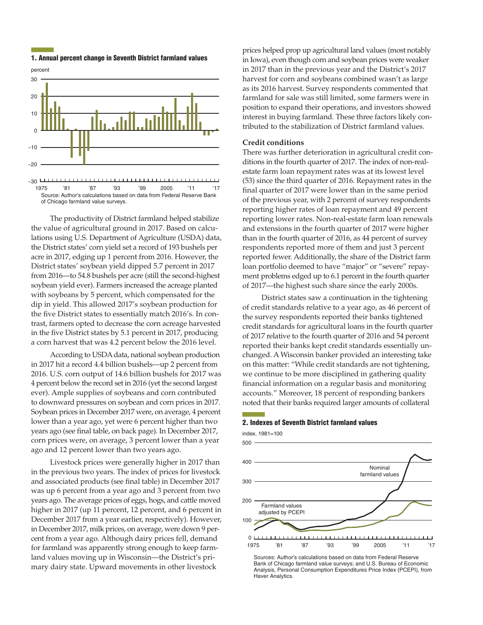

## 1. Annual percent change in Seventh District farmland values

Source: Author's calculations based on data from Federal Reserve Bank of Chicago farmland value surveys. 1975 '81 '87 '93 '99 2005 '11 '17

The productivity of District farmland helped stabilize the value of agricultural ground in 2017. Based on calculations using U.S. Department of Agriculture (USDA) data, the District states' corn yield set a record of 193 bushels per acre in 2017, edging up 1 percent from 2016. However, the District states' soybean yield dipped 5.7 percent in 2017 from 2016—to 54.8 bushels per acre (still the second-highest soybean yield ever). Farmers increased the acreage planted with soybeans by 5 percent, which compensated for the dip in yield. This allowed 2017's soybean production for the five District states to essentially match 2016's. In contrast, farmers opted to decrease the corn acreage harvested in the five District states by 5.1 percent in 2017, producing a corn harvest that was 4.2 percent below the 2016 level.

According to USDA data, national soybean production in 2017 hit a record 4.4 billion bushels—up 2 percent from 2016. U.S. corn output of 14.6 billion bushels for 2017 was 4 percent below the record set in 2016 (yet the second largest ever). Ample supplies of soybeans and corn contributed to downward pressures on soybean and corn prices in 2017. Soybean prices in December 2017 were, on average, 4 percent lower than a year ago, yet were 6 percent higher than two years ago (see final table, on back page). In December 2017, corn prices were, on average, 3 percent lower than a year ago and 12 percent lower than two years ago.

Livestock prices were generally higher in 2017 than in the previous two years. The index of prices for livestock and associated products (see final table) in December 2017 was up 6 percent from a year ago and 3 percent from two years ago. The average prices of eggs, hogs, and cattle moved higher in 2017 (up 11 percent, 12 percent, and 6 percent in December 2017 from a year earlier, respectively). However, in December 2017, milk prices, on average, were down 9 percent from a year ago. Although dairy prices fell, demand for farmland was apparently strong enough to keep farmland values moving up in Wisconsin—the District's primary dairy state. Upward movements in other livestock

prices helped prop up agricultural land values (most notably in Iowa), even though corn and soybean prices were weaker in 2017 than in the previous year and the District's 2017 harvest for corn and soybeans combined wasn't as large as its 2016 harvest. Survey respondents commented that farmland for sale was still limited, some farmers were in position to expand their operations, and investors showed interest in buying farmland. These three factors likely contributed to the stabilization of District farmland values.

# **Credit conditions**

There was further deterioration in agricultural credit conditions in the fourth quarter of 2017. The index of non-realestate farm loan repayment rates was at its lowest level (53) since the third quarter of 2016. Repayment rates in the final quarter of 2017 were lower than in the same period of the previous year, with 2 percent of survey respondents reporting higher rates of loan repayment and 49 percent reporting lower rates. Non-real-estate farm loan renewals and extensions in the fourth quarter of 2017 were higher than in the fourth quarter of 2016, as 44 percent of survey respondents reported more of them and just 3 percent reported fewer. Additionally, the share of the District farm loan portfolio deemed to have "major" or "severe" repayment problems edged up to 6.1 percent in the fourth quarter of 2017—the highest such share since the early 2000s.

District states saw a continuation in the tightening of credit standards relative to a year ago, as 46 percent of the survey respondents reported their banks tightened credit standards for agricultural loans in the fourth quarter of 2017 relative to the fourth quarter of 2016 and 54 percent reported their banks kept credit standards essentially unchanged. A Wisconsin banker provided an interesting take on this matter: "While credit standards are not tightening, we continue to be more disciplined in gathering quality financial information on a regular basis and monitoring accounts." Moreover, 18 percent of responding bankers noted that their banks required larger amounts of collateral

## 2. Indexes of Seventh District farmland values

index, 1981=100



Sources: Author's calculations based on data from Federal Reserve Bank of Chicago farmland value surveys; and U.S. Bureau of Economic Analysis, Personal Consumption Expenditures Price Index (PCEPI), from Haver Analytics.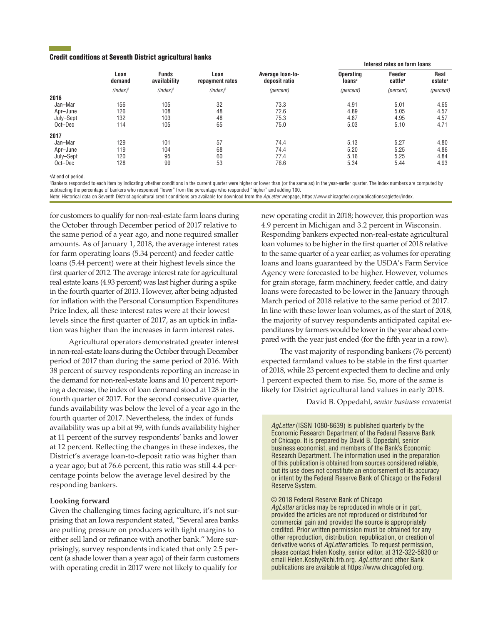## Credit conditions at Seventh District agricultural banks

|           | Loan<br>demand | <b>Funds</b><br>availability | Loan<br>repayment rates | Average loan-to-<br>deposit ratio | Interest rates on farm loans           |                               |                             |
|-----------|----------------|------------------------------|-------------------------|-----------------------------------|----------------------------------------|-------------------------------|-----------------------------|
|           |                |                              |                         |                                   | <b>Operating</b><br>loans <sup>a</sup> | Feeder<br>cattle <sup>a</sup> | Real<br>estate <sup>a</sup> |
|           | $(index)^b$    | $(index)^b$                  | $(index)^b$             | (percent)                         | (percent)                              | (percent)                     | (percent)                   |
| 2016      |                |                              |                         |                                   |                                        |                               |                             |
| Jan-Mar   | 156            | 105                          | 32                      | 73.3                              | 4.91                                   | 5.01                          | 4.65                        |
| Apr–June  | 126            | 108                          | 48                      | 72.6                              | 4.89                                   | 5.05                          | 4.57                        |
| July-Sept | 132            | 103                          | 48                      | 75.3                              | 4.87                                   | 4.95                          | 4.57                        |
| Oct-Dec   | 114            | 105                          | 65                      | 75.0                              | 5.03                                   | 5.10                          | 4.71                        |
| 2017      |                |                              |                         |                                   |                                        |                               |                             |
| Jan-Mar   | 129            | 101                          | 57                      | 74.4                              | 5.13                                   | 5.27                          | 4.80                        |
| Apr–June  | 119            | 104                          | 68                      | 74.4                              | 5.20                                   | 5.25                          | 4.86                        |
| July-Sept | 120            | 95                           | 60                      | 77.4                              | 5.16                                   | 5.25                          | 4.84                        |
| Oct-Dec   | 128            | 99                           | 53                      | 76.6                              | 5.34                                   | 5.44                          | 4.93                        |

a At end of period.

b Bankers responded to each item by indicating whether conditions in the current quarter were higher or lower than (or the same as) in the year-earlier quarter. The index numbers are computed by subtracting the percentage of bankers who responded "lower" from the percentage who responded "higher" and adding 100.

Note: Historical data on Seventh District agricultural credit conditions are available for download from the *AgLetter* webpage, https://www.chicagofed.org/publications/agletter/index.

for customers to qualify for non-real-estate farm loans during the October through December period of 2017 relative to the same period of a year ago, and none required smaller amounts. As of January 1, 2018, the average interest rates for farm operating loans (5.34 percent) and feeder cattle loans (5.44 percent) were at their highest levels since the first quarter of 2012. The average interest rate for agricultural real estate loans (4.93 percent) was last higher during a spike in the fourth quarter of 2013. However, after being adjusted for inflation with the Personal Consumption Expenditures Price Index, all these interest rates were at their lowest levels since the first quarter of 2017, as an uptick in inflation was higher than the increases in farm interest rates.

Agricultural operators demonstrated greater interest in non-real-estate loans during the October through December period of 2017 than during the same period of 2016. With 38 percent of survey respondents reporting an increase in the demand for non-real-estate loans and 10 percent reporting a decrease, the index of loan demand stood at 128 in the fourth quarter of 2017. For the second consecutive quarter, funds availability was below the level of a year ago in the fourth quarter of 2017. Nevertheless, the index of funds availability was up a bit at 99, with funds availability higher at 11 percent of the survey respondents' banks and lower at 12 percent. Reflecting the changes in these indexes, the District's average loan-to-deposit ratio was higher than a year ago; but at 76.6 percent, this ratio was still 4.4 percentage points below the average level desired by the responding bankers.

## **Looking forward**

Given the challenging times facing agriculture, it's not surprising that an Iowa respondent stated, "Several area banks are putting pressure on producers with tight margins to either sell land or refinance with another bank." More surprisingly, survey respondents indicated that only 2.5 percent (a shade lower than a year ago) of their farm customers with operating credit in 2017 were not likely to qualify for

new operating credit in 2018; however, this proportion was 4.9 percent in Michigan and 3.2 percent in Wisconsin. Responding bankers expected non-real-estate agricultural loan volumes to be higher in the first quarter of 2018 relative to the same quarter of a year earlier, as volumes for operating loans and loans guaranteed by the USDA's Farm Service Agency were forecasted to be higher. However, volumes for grain storage, farm machinery, feeder cattle, and dairy loans were forecasted to be lower in the January through March period of 2018 relative to the same period of 2017. In line with these lower loan volumes, as of the start of 2018, the majority of survey respondents anticipated capital expenditures by farmers would be lower in the year ahead compared with the year just ended (for the fifth year in a row).

The vast majority of responding bankers (76 percent) expected farmland values to be stable in the first quarter of 2018, while 23 percent expected them to decline and only 1 percent expected them to rise. So, more of the same is likely for District agricultural land values in early 2018.

David B. Oppedahl, *senior business economist*

*AgLetter* (ISSN 1080-8639) is published quarterly by the Economic Research Department of the Federal Reserve Bank of Chicago. It is prepared by David B. Oppedahl, senior business economist, and members of the Bank's Economic Research Department. The information used in the preparation of this publication is obtained from sources considered reliable, but its use does not constitute an endorsement of its accuracy or intent by the Federal Reserve Bank of Chicago or the Federal Reserve System.

© 2018 Federal Reserve Bank of Chicago

*AgLetter* articles may be reproduced in whole or in part, provided the articles are not reproduced or distributed for commercial gain and provided the source is appropriately credited. Prior written permission must be obtained for any other reproduction, distribution, republication, or creation of derivative works of *AgLetter* articles. To request permission, please contact Helen Koshy, senior editor, at 312-322-5830 or email Helen.Koshy@chi.frb.org. *AgLetter* and other Bank publications are available at https://www.chicagofed.org.